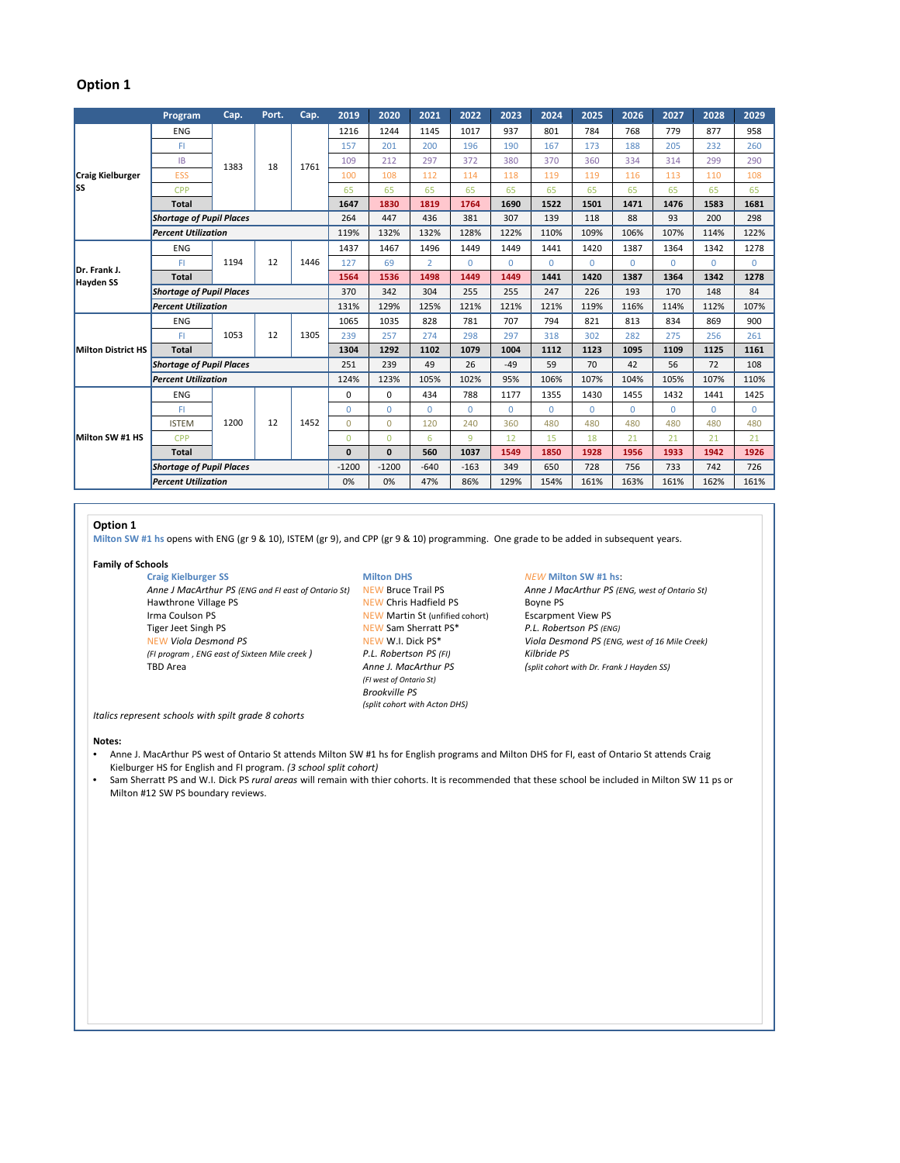## **Option 1**

|                                  | Program                         | Cap.       | Port. | Cap.         | 2019         | 2020     | 2021           | 2022     | 2023     | 2024     | 2025     | 2026     | 2027     | 2028     | 2029     |
|----------------------------------|---------------------------------|------------|-------|--------------|--------------|----------|----------------|----------|----------|----------|----------|----------|----------|----------|----------|
| <b>Craig Kielburger</b><br>lss   | <b>ENG</b>                      | 1383       | 18    | 1761         | 1216         | 1244     | 1145           | 1017     | 937      | 801      | 784      | 768      | 779      | 877      | 958      |
|                                  | FI.                             |            |       |              | 157          | 201      | 200            | 196      | 190      | 167      | 173      | 188      | 205      | 232      | 260      |
|                                  | <b>IB</b>                       |            |       |              | 109          | 212      | 297            | 372      | 380      | 370      | 360      | 334      | 314      | 299      | 290      |
|                                  | <b>ESS</b>                      |            |       |              | 100          | 108      | 112            | 114      | 118      | 119      | 119      | 116      | 113      | 110      | 108      |
|                                  | <b>CPP</b>                      |            |       |              | 65           | 65       | 65             | 65       | 65       | 65       | 65       | 65       | 65       | 65       | 65       |
|                                  | <b>Total</b>                    |            |       |              | 1647         | 1830     | 1819           | 1764     | 1690     | 1522     | 1501     | 1471     | 1476     | 1583     | 1681     |
|                                  | <b>Shortage of Pupil Places</b> |            |       |              | 264          | 447      | 436            | 381      | 307      | 139      | 118      | 88       | 93       | 200      | 298      |
|                                  | <b>Percent Utilization</b>      |            |       |              | 119%         | 132%     | 132%           | 128%     | 122%     | 110%     | 109%     | 106%     | 107%     | 114%     | 122%     |
| Dr. Frank J.<br><b>Hayden SS</b> | <b>ENG</b>                      | 1194       | 12    | 1446         | 1437         | 1467     | 1496           | 1449     | 1449     | 1441     | 1420     | 1387     | 1364     | 1342     | 1278     |
|                                  | FI                              |            |       |              | 127          | 69       | $\overline{2}$ | $\Omega$ | $\Omega$ | $\Omega$ | $\Omega$ | $\Omega$ | $\Omega$ | $\Omega$ | $\Omega$ |
|                                  | <b>Total</b>                    |            |       |              | 1564         | 1536     | 1498           | 1449     | 1449     | 1441     | 1420     | 1387     | 1364     | 1342     | 1278     |
|                                  | <b>Shortage of Pupil Places</b> |            |       |              | 370          | 342      | 304            | 255      | 255      | 247      | 226      | 193      | 170      | 148      | 84       |
|                                  | <b>Percent Utilization</b>      |            |       |              | 131%         | 129%     | 125%           | 121%     | 121%     | 121%     | 119%     | 116%     | 114%     | 112%     | 107%     |
| <b>Milton District HS</b>        | <b>ENG</b>                      | 1053       | 12    | 1305         | 1065         | 1035     | 828            | 781      | 707      | 794      | 821      | 813      | 834      | 869      | 900      |
|                                  | FI.                             |            |       |              | 239          | 257      | 274            | 298      | 297      | 318      | 302      | 282      | 275      | 256      | 261      |
|                                  | <b>Total</b>                    |            |       |              | 1304         | 1292     | 1102           | 1079     | 1004     | 1112     | 1123     | 1095     | 1109     | 1125     | 1161     |
|                                  | <b>Shortage of Pupil Places</b> |            |       |              | 251          | 239      | 49             | 26       | $-49$    | 59       | 70       | 42       | 56       | 72       | 108      |
|                                  | <b>Percent Utilization</b>      |            |       |              | 124%         | 123%     | 105%           | 102%     | 95%      | 106%     | 107%     | 104%     | 105%     | 107%     | 110%     |
| Milton SW #1 HS                  | <b>ENG</b>                      | 1200<br>12 |       | 1452         | 0            | $\Omega$ | 434            | 788      | 1177     | 1355     | 1430     | 1455     | 1432     | 1441     | 1425     |
|                                  | FI                              |            |       |              | $\Omega$     | $\Omega$ | $\Omega$       | $\Omega$ | $\Omega$ | $\Omega$ | $\Omega$ | $\Omega$ | $\Omega$ | $\Omega$ | $\Omega$ |
|                                  | <b>ISTEM</b>                    |            |       |              | $\Omega$     | $\Omega$ | 120            | 240      | 360      | 480      | 480      | 480      | 480      | 480      | 480      |
|                                  | <b>CPP</b>                      |            |       |              | $\Omega$     | $\Omega$ | 6              | 9        | 12       | 15       | 18       | 21       | 21       | 21       | 21       |
|                                  | <b>Total</b>                    |            |       | $\mathbf{0}$ | $\mathbf{0}$ | 560      | 1037           | 1549     | 1850     | 1928     | 1956     | 1933     | 1942     | 1926     |          |
|                                  | <b>Shortage of Pupil Places</b> |            |       |              | $-1200$      | $-1200$  | $-640$         | $-163$   | 349      | 650      | 728      | 756      | 733      | 742      | 726      |
|                                  | <b>Percent Utilization</b>      |            |       |              | 0%           | 0%       | 47%            | 86%      | 129%     | 154%     | 161%     | 163%     | 161%     | 162%     | 161%     |

## **Option 1**

**Milton SW #1 hs** opens with ENG (gr 9 & 10), ISTEM (gr 9), and CPP (gr 9 & 10) programming. One grade to be added in subsequent years.

**Family of Schools**

Craig Kielburger SS<br> **Anne J MacArthur PS** (ENG and FI east of Ontario St) **NEW** Bruce Trail PS<br> **Anne J MacArthur PS** (ENG, west of Ontario St) *Anne J MacArthur PS (ENG and FI east of Ontario St)* NEW Bruce Trail PS *Anne J Mc Hawthrone Village PS Boyne PS* Irma Coulson PS **NEW Martin St (unfified cohort)** Escarpment View PS<br>
Tiger Jeet Singh PS **NEW Sam Sherratt PS** \* P.L. Robertson PS (ENG) Tiger Jeet Singh PS *P.C. <b>P.C. P.C. P.C. <i>Robertson REW Sam Sherratt PS\* P.L. REW W.I. Dick PS\* (FI program , ENG east of Sixteen Mile creek ) P.L. Robertson PS (FI) Kilbride PS*

# NEW Chris Hadfield PS *(FI west of Ontario St) Brookville PS (split cohort with Acton DHS)*

*Viola Desmond PS (ENG, west of 16 Mile Creek)* TBD Area *Anne J. MacArthur PS (split cohort with Dr. Frank J Hayden SS)*

*Italics represent schools with spilt grade 8 cohorts*

### **Notes:**

- Anne J. MacArthur PS west of Ontario St attends Milton SW #1 hs for English programs and Milton DHS for FI, east of Ontario St attends Craig Kielburger HS for English and FI program. *(3 school split cohort)*
- Sam Sherratt PS and W.I. Dick PS *rural areas* will remain with thier cohorts. It is recommended that these school be included in Milton SW 11 ps or Milton #12 SW PS boundary reviews.